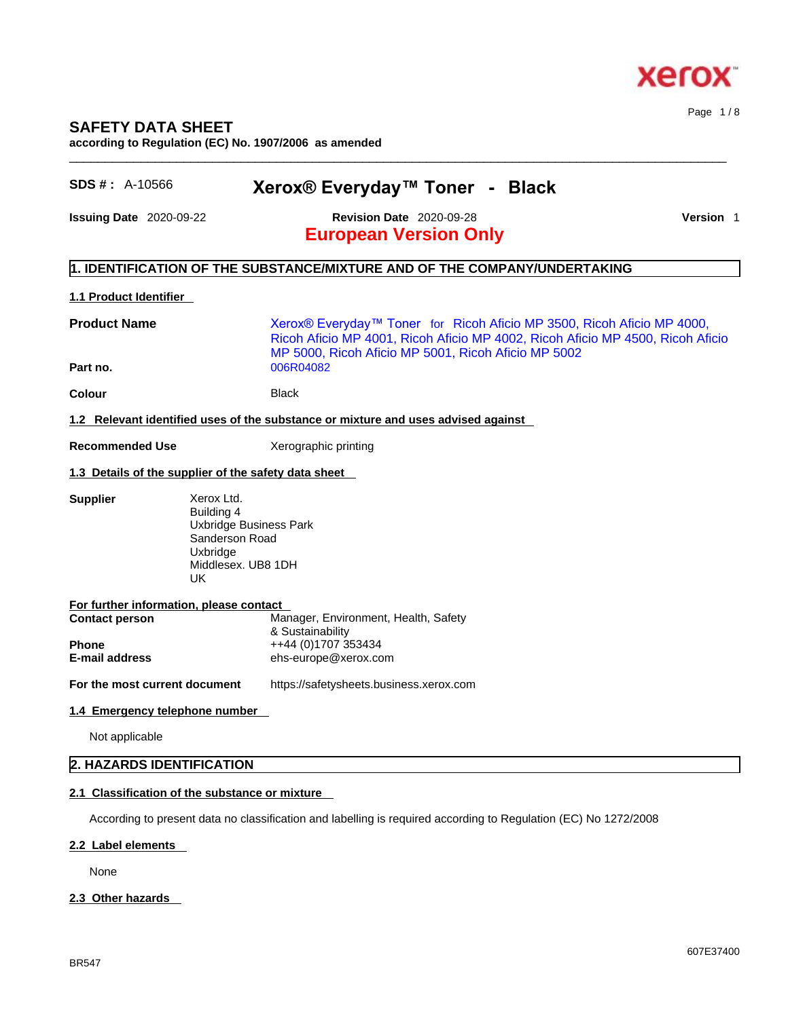

### **SAFETY DATA SHEET**

**according to Regulation (EC) No. 1907/2006 as amended** 

| SDS #: A-10566                 | Xerox® Everyday™ Toner - Black                                                                                                                                                                                  |           |
|--------------------------------|-----------------------------------------------------------------------------------------------------------------------------------------------------------------------------------------------------------------|-----------|
| <b>Issuing Date</b> 2020-09-22 | <b>Revision Date 2020-09-28</b>                                                                                                                                                                                 | Version 1 |
|                                | <b>European Version Only</b>                                                                                                                                                                                    |           |
|                                | 1. IDENTIFICATION OF THE SUBSTANCE/MIXTURE AND OF THE COMPANY/UNDERTAKING                                                                                                                                       |           |
| <b>1.1 Product Identifier</b>  |                                                                                                                                                                                                                 |           |
| <b>Product Name</b>            | Xerox® Everyday™ Toner for Ricoh Aficio MP 3500, Ricoh Aficio MP 4000,<br>Ricoh Aficio MP 4001, Ricoh Aficio MP 4002, Ricoh Aficio MP 4500, Ricoh Aficio<br>MP 5000, Ricoh Aficio MP 5001, Ricoh Aficio MP 5002 |           |
| Part no.                       | 006R04082                                                                                                                                                                                                       |           |
| Colour                         | <b>Black</b>                                                                                                                                                                                                    |           |
|                                | 1.2 Relevant identified uses of the substance or mixture and uses advised against                                                                                                                               |           |
| <b>Recommended Use</b>         | Xerographic printing                                                                                                                                                                                            |           |
|                                | 1.3 Details of the supplier of the safety data sheet                                                                                                                                                            |           |
| <b>Supplier</b>                | Xerox Ltd.<br>Building 4<br>Uxbridge Business Park<br>Sanderson Road<br>Uxbridge<br>Middlesex. UB8 1DH<br><b>UK</b>                                                                                             |           |
|                                | For further information, please contact                                                                                                                                                                         |           |
| <b>Contact person</b>          | Manager, Environment, Health, Safety<br>& Sustainability                                                                                                                                                        |           |
| Phone                          | ++44 (0)1707 353434                                                                                                                                                                                             |           |
| E-mail address                 | ehs-europe@xerox.com                                                                                                                                                                                            |           |
| For the most current document  | https://safetysheets.business.xerox.com                                                                                                                                                                         |           |
| 1.4 Emergency telephone number |                                                                                                                                                                                                                 |           |
| Not applicable                 |                                                                                                                                                                                                                 |           |
|                                |                                                                                                                                                                                                                 |           |

# **2.1 Classification of the substance or mixture**

According to present data no classification and labelling is required according to Regulation (EC) No 1272/2008

#### **2.2 Label elements**

None

#### **2.3 Other hazards**

Page 1 / 8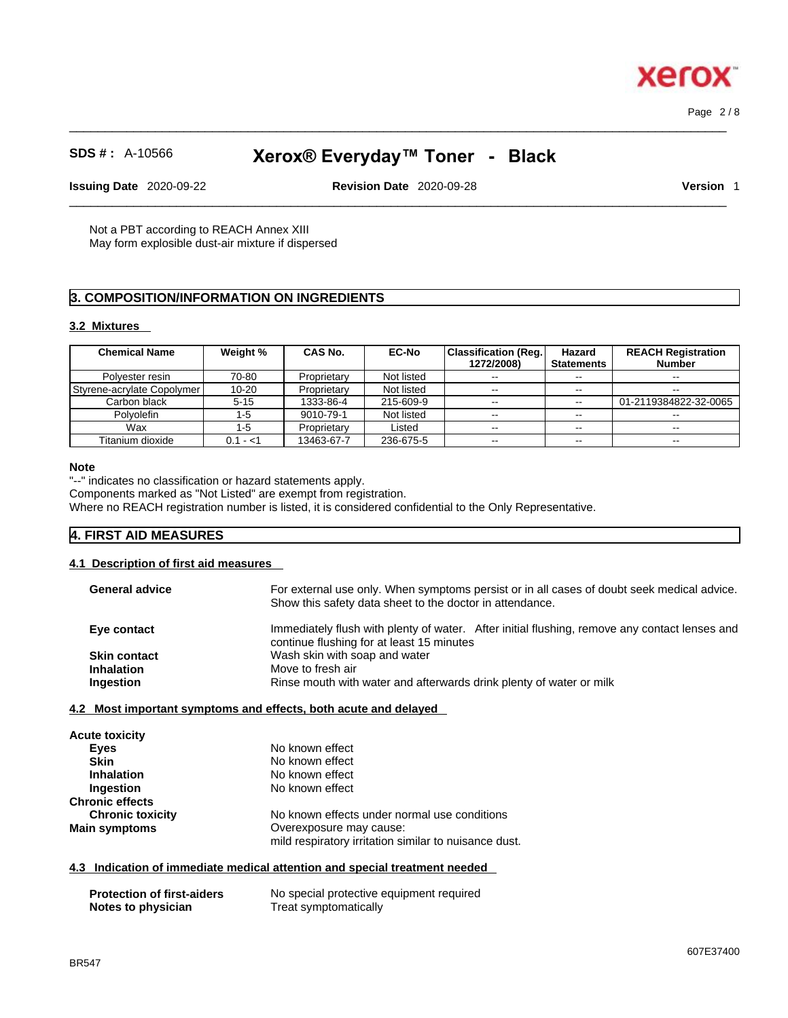Page 2 / 8

xerox

# **SDS # :** A-10566 **Xerox® Everyday™ Toner - Black**

 $\_$  ,  $\_$  ,  $\_$  ,  $\_$  ,  $\_$  ,  $\_$  ,  $\_$  ,  $\_$  ,  $\_$  ,  $\_$  ,  $\_$  ,  $\_$  ,  $\_$  ,  $\_$  ,  $\_$  ,  $\_$  ,  $\_$  ,  $\_$  ,  $\_$  ,  $\_$  ,  $\_$  ,  $\_$  ,  $\_$  ,  $\_$  ,  $\_$  ,  $\_$  ,  $\_$  ,  $\_$  ,  $\_$  ,  $\_$  ,  $\_$  ,  $\_$  ,  $\_$  ,  $\_$  ,  $\_$  ,  $\_$  ,  $\_$  ,

**Issuing Date** 2020-09-22 **Revision Date** 2020-09-28 **Version** 1

 $\_$  ,  $\_$  ,  $\_$  ,  $\_$  ,  $\_$  ,  $\_$  ,  $\_$  ,  $\_$  ,  $\_$  ,  $\_$  ,  $\_$  ,  $\_$  ,  $\_$  ,  $\_$  ,  $\_$  ,  $\_$  ,  $\_$  ,  $\_$  ,  $\_$  ,  $\_$  ,  $\_$  ,  $\_$  ,  $\_$  ,  $\_$  ,  $\_$  ,  $\_$  ,  $\_$  ,  $\_$  ,  $\_$  ,  $\_$  ,  $\_$  ,  $\_$  ,  $\_$  ,  $\_$  ,  $\_$  ,  $\_$  ,  $\_$  ,

Not a PBT according to REACH Annex XIII May form explosible dust-air mixture if dispersed

### **3. COMPOSITION/INFORMATION ON INGREDIENTS**

#### **3.2 Mixtures**

| <b>Chemical Name</b>              | Weight %  | CAS No.     | <b>EC-No</b> | Classification (Reg.)<br>1272/2008) | Hazard<br><b>Statements</b> | <b>REACH Registration</b><br>Number |
|-----------------------------------|-----------|-------------|--------------|-------------------------------------|-----------------------------|-------------------------------------|
| Polyester resin                   | 70-80     | Proprietary | Not listed   | $\sim$ $\sim$                       | $\sim$ $\sim$               | $- -$                               |
| <b>Styrene-acrylate Copolymer</b> | $10 - 20$ | Proprietary | Not listed   | $\sim$ $\sim$                       | $-1$                        | --                                  |
| Carbon black                      | $5 - 15$  | 1333-86-4   | 215-609-9    | $\sim$ $\sim$                       | $\sim$                      | 01-2119384822-32-0065               |
| <b>Polvolefin</b>                 | 1-5       | 9010-79-1   | Not listed   | $\sim$ $\sim$                       | $\sim$ $\sim$               | $\sim$ $\sim$                       |
| Wax                               | -5        | Proprietary | Listed       | $- -$                               | $\sim$ $\sim$               | $\overline{\phantom{m}}$            |
| Titanium dioxide                  | $0.1 - 1$ | 13463-67-7  | 236-675-5    | $\sim$ $\sim$                       | $\sim$ $\sim$               | --                                  |

#### **Note**

"--" indicates no classification or hazard statements apply.

Components marked as "Not Listed" are exempt from registration.

Where no REACH registration number is listed, it is considered confidential to the Only Representative.

#### **4. FIRST AID MEASURES**

#### **4.1 Description of first aid measures**

| <b>General advice</b> | For external use only. When symptoms persist or in all cases of doubt seek medical advice.<br>Show this safety data sheet to the doctor in attendance. |
|-----------------------|--------------------------------------------------------------------------------------------------------------------------------------------------------|
| Eye contact           | Immediately flush with plenty of water. After initial flushing, remove any contact lenses and<br>continue flushing for at least 15 minutes             |
| <b>Skin contact</b>   | Wash skin with soap and water                                                                                                                          |
| <b>Inhalation</b>     | Move to fresh air                                                                                                                                      |
| Ingestion             | Rinse mouth with water and afterwards drink plenty of water or milk                                                                                    |
|                       |                                                                                                                                                        |

**4.2 Most important symptoms and effects, both acute and delayed**

| <b>Acute toxicity</b>   |                                                       |
|-------------------------|-------------------------------------------------------|
| Eyes                    | No known effect                                       |
| <b>Skin</b>             | No known effect                                       |
| <b>Inhalation</b>       | No known effect                                       |
| Ingestion               | No known effect                                       |
| <b>Chronic effects</b>  |                                                       |
| <b>Chronic toxicity</b> | No known effects under normal use conditions          |
| <b>Main symptoms</b>    | Overexposure may cause:                               |
|                         | mild respiratory irritation similar to nuisance dust. |

#### **4.3 Indication of immediate medical attention and special treatment needed**

| <b>Protection of first-aiders</b> | No special protective equipment required |
|-----------------------------------|------------------------------------------|
| Notes to physician                | Treat symptomatically                    |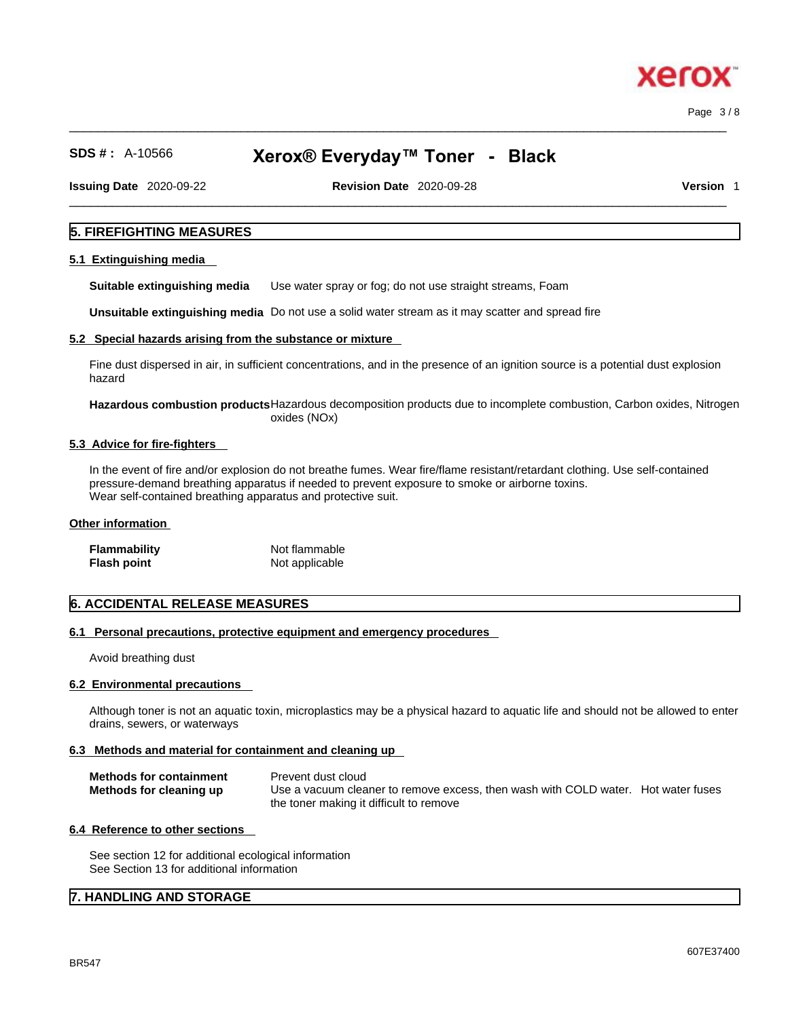xero

# **SDS # :** A-10566 **Xerox® Everyday™ Toner - Black**

**Issuing Date** 2020-09-22 **Revision Date** 2020-09-28 **Version** 1

 $\_$  ,  $\_$  ,  $\_$  ,  $\_$  ,  $\_$  ,  $\_$  ,  $\_$  ,  $\_$  ,  $\_$  ,  $\_$  ,  $\_$  ,  $\_$  ,  $\_$  ,  $\_$  ,  $\_$  ,  $\_$  ,  $\_$  ,  $\_$  ,  $\_$  ,  $\_$  ,  $\_$  ,  $\_$  ,  $\_$  ,  $\_$  ,  $\_$  ,  $\_$  ,  $\_$  ,  $\_$  ,  $\_$  ,  $\_$  ,  $\_$  ,  $\_$  ,  $\_$  ,  $\_$  ,  $\_$  ,  $\_$  ,  $\_$  ,

#### **5. FIREFIGHTING MEASURES**

#### **5.1 Extinguishing media**

**Suitable extinguishing media** Use water spray or fog; do not use straight streams, Foam

**Unsuitable extinguishing media** Do not use a solid water stream as it may scatterand spread fire

#### **5.2 Special hazards arising from the substance or mixture**

Fine dust dispersed in air, in sufficient concentrations, and in the presence of an ignition source is a potential dust explosion hazard

**Hazardous combustion products**Hazardous decomposition products due to incomplete combustion, Carbon oxides, Nitrogen oxides (NOx)

#### **5.3 Advice for fire-fighters**

In the event of fire and/or explosion do not breathe fumes. Wear fire/flame resistant/retardant clothing. Use self-contained pressure-demand breathing apparatus if needed to prevent exposure to smoke or airborne toxins. Wear self-contained breathing apparatus and protective suit.

#### **Other information**

| Flammability | Not flammable  |
|--------------|----------------|
| Flash point  | Not applicable |

#### **6. ACCIDENTAL RELEASE MEASURES**

#### **6.1 Personal precautions, protective equipment and emergency procedures**

Avoid breathing dust

#### **6.2 Environmental precautions**

Although toner is not an aquatic toxin, microplastics may be a physical hazard to aquatic life and should not be allowed to enter drains, sewers, or waterways

#### **6.3 Methods and material for containment and cleaning up**

| <b>Methods for containment</b> | Prevent dust cloud                                                                |
|--------------------------------|-----------------------------------------------------------------------------------|
| Methods for cleaning up        | Use a vacuum cleaner to remove excess, then wash with COLD water. Hot water fuses |
|                                | the toner making it difficult to remove                                           |

#### **6.4 Reference to other sections**

See section 12 for additional ecological information See Section 13 for additional information

#### **7. HANDLING AND STORAGE**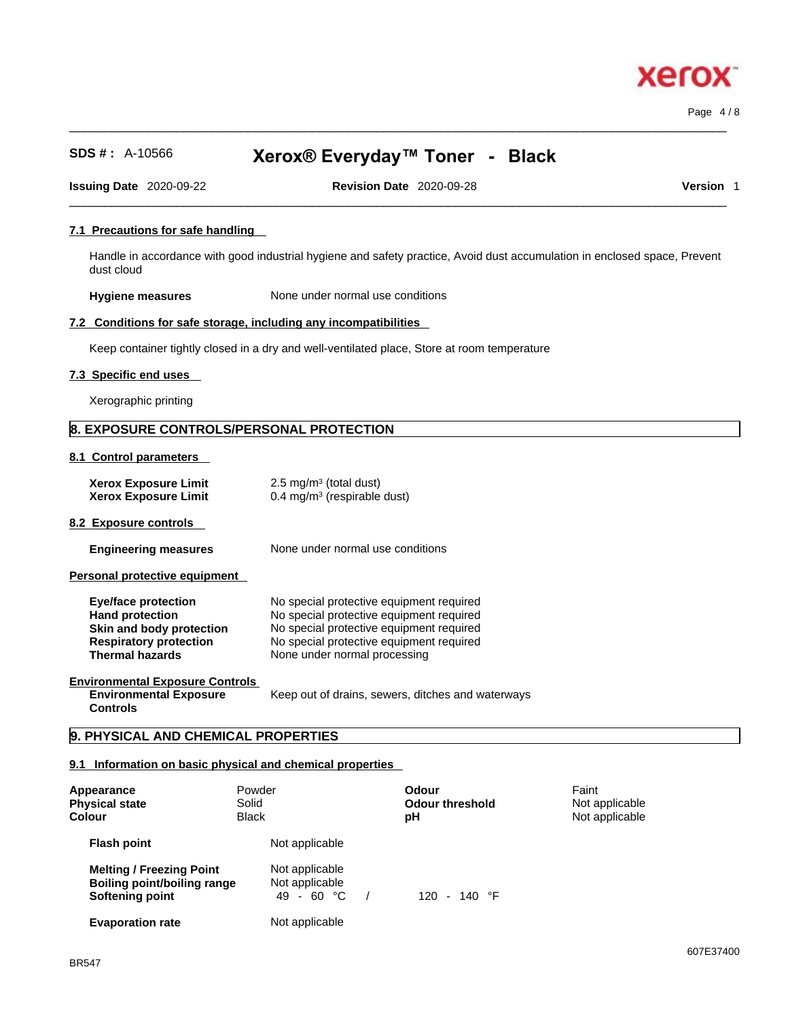Page 4 / 8

# **SDS # :** A-10566 **Xerox® Everyday™ Toner - Black**

 $\_$  ,  $\_$  ,  $\_$  ,  $\_$  ,  $\_$  ,  $\_$  ,  $\_$  ,  $\_$  ,  $\_$  ,  $\_$  ,  $\_$  ,  $\_$  ,  $\_$  ,  $\_$  ,  $\_$  ,  $\_$  ,  $\_$  ,  $\_$  ,  $\_$  ,  $\_$  ,  $\_$  ,  $\_$  ,  $\_$  ,  $\_$  ,  $\_$  ,  $\_$  ,  $\_$  ,  $\_$  ,  $\_$  ,  $\_$  ,  $\_$  ,  $\_$  ,  $\_$  ,  $\_$  ,  $\_$  ,  $\_$  ,  $\_$  ,

**Issuing Date** 2020-09-22 **Revision Date** 2020-09-28 **Version** 1

 $\_$  ,  $\_$  ,  $\_$  ,  $\_$  ,  $\_$  ,  $\_$  ,  $\_$  ,  $\_$  ,  $\_$  ,  $\_$  ,  $\_$  ,  $\_$  ,  $\_$  ,  $\_$  ,  $\_$  ,  $\_$  ,  $\_$  ,  $\_$  ,  $\_$  ,  $\_$  ,  $\_$  ,  $\_$  ,  $\_$  ,  $\_$  ,  $\_$  ,  $\_$  ,  $\_$  ,  $\_$  ,  $\_$  ,  $\_$  ,  $\_$  ,  $\_$  ,  $\_$  ,  $\_$  ,  $\_$  ,  $\_$  ,  $\_$  ,

#### **7.1 Precautions for safe handling**

Handle in accordance with good industrial hygiene and safety practice, Avoid dust accumulation in enclosed space, Prevent dust cloud

**Hygiene measures** None under normal use conditions

#### **7.2 Conditions for safe storage, including any incompatibilities**

Keep container tightly closed in a dry and well-ventilated place, Store at room temperature

#### **7.3 Specific end uses**

Xerographic printing

#### **8. EXPOSURE CONTROLS/PERSONAL PROTECTION**

#### **8.1 Control parameters**

| <b>Xerox Exposure Limit</b> | $2.5 \text{ mg/m}^3$ (total dust)      |
|-----------------------------|----------------------------------------|
| <b>Xerox Exposure Limit</b> | $0.4 \text{ mg/m}^3$ (respirable dust) |

#### **8.2 Exposure controls**

**Engineering measures** None under normal use conditions

**Personal protective equipment** 

| <b>Eve/face protection</b>    | No special protective equipment required |
|-------------------------------|------------------------------------------|
| <b>Hand protection</b>        | No special protective equipment required |
| Skin and body protection      | No special protective equipment required |
| <b>Respiratory protection</b> | No special protective equipment required |
| <b>Thermal hazards</b>        | None under normal processing             |

#### **Environmental Exposure Controls Environmental Exposure Controls**

Keep out of drains, sewers, ditches and waterways

#### **9. PHYSICAL AND CHEMICAL PROPERTIES**

#### **9.1 Information on basic physical and chemical properties**

| Appearance<br><b>Physical state</b><br>Colour                                            | Solid<br><b>Black</b> | Powder                                           | Odour<br><b>Odour threshold</b><br>рH | Faint<br>Not applicable<br>Not applicable |  |
|------------------------------------------------------------------------------------------|-----------------------|--------------------------------------------------|---------------------------------------|-------------------------------------------|--|
| Flash point                                                                              |                       | Not applicable                                   |                                       |                                           |  |
| <b>Melting / Freezing Point</b><br><b>Boiling point/boiling range</b><br>Softening point |                       | Not applicable<br>Not applicable<br>$49 - 60 °C$ | 120 - 140 °F                          |                                           |  |
| <b>Evaporation rate</b>                                                                  |                       | Not applicable                                   |                                       |                                           |  |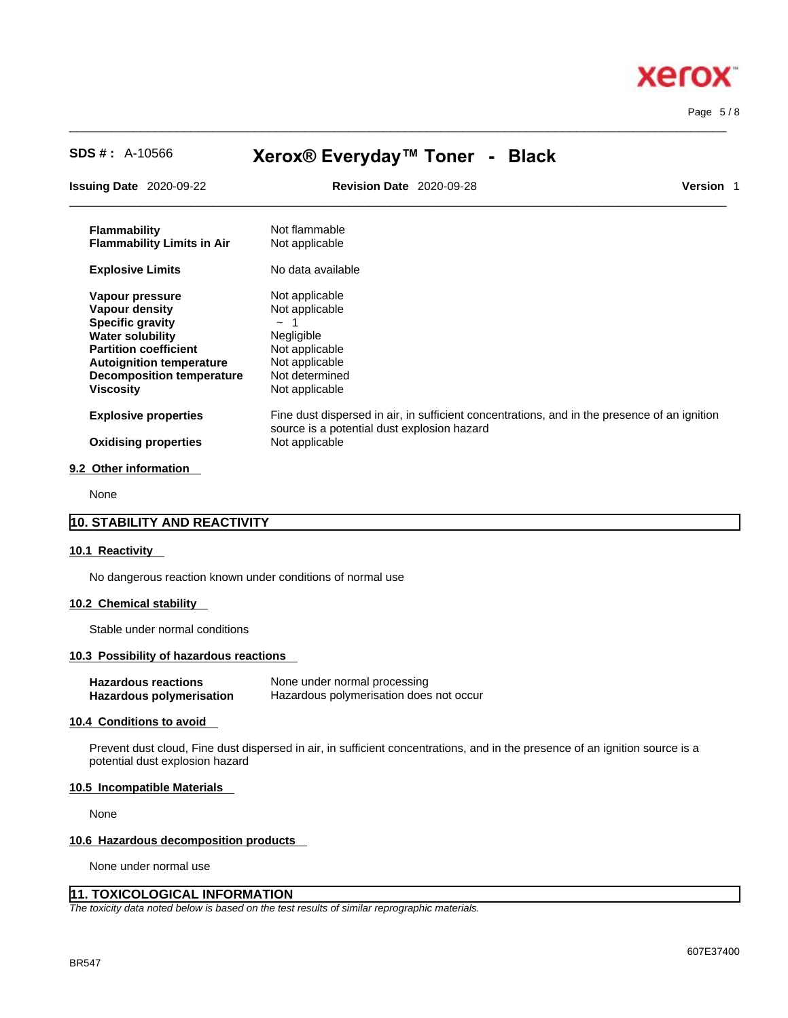

Page 5 / 8

# **SDS # :** A-10566 **Xerox® Everyday™ Toner - Black**

 $\_$  ,  $\_$  ,  $\_$  ,  $\_$  ,  $\_$  ,  $\_$  ,  $\_$  ,  $\_$  ,  $\_$  ,  $\_$  ,  $\_$  ,  $\_$  ,  $\_$  ,  $\_$  ,  $\_$  ,  $\_$  ,  $\_$  ,  $\_$  ,  $\_$  ,  $\_$  ,  $\_$  ,  $\_$  ,  $\_$  ,  $\_$  ,  $\_$  ,  $\_$  ,  $\_$  ,  $\_$  ,  $\_$  ,  $\_$  ,  $\_$  ,  $\_$  ,  $\_$  ,  $\_$  ,  $\_$  ,  $\_$  ,  $\_$  ,

| <b>Issuing Date</b> 2020-09-22    | <b>Revision Date 2020-09-28</b>             |                                                                                              | <b>Version 1</b> |
|-----------------------------------|---------------------------------------------|----------------------------------------------------------------------------------------------|------------------|
| <b>Flammability</b>               | Not flammable                               |                                                                                              |                  |
| <b>Flammability Limits in Air</b> | Not applicable                              |                                                                                              |                  |
| <b>Explosive Limits</b>           | No data available                           |                                                                                              |                  |
| Vapour pressure                   | Not applicable                              |                                                                                              |                  |
| Vapour density                    | Not applicable                              |                                                                                              |                  |
| <b>Specific gravity</b>           |                                             |                                                                                              |                  |
| <b>Water solubility</b>           | Negligible                                  |                                                                                              |                  |
| <b>Partition coefficient</b>      | Not applicable                              |                                                                                              |                  |
| <b>Autoignition temperature</b>   | Not applicable                              |                                                                                              |                  |
| <b>Decomposition temperature</b>  | Not determined                              |                                                                                              |                  |
| <b>Viscosity</b>                  | Not applicable                              |                                                                                              |                  |
| <b>Explosive properties</b>       | source is a potential dust explosion hazard | Fine dust dispersed in air, in sufficient concentrations, and in the presence of an ignition |                  |
| <b>Oxidising properties</b>       | Not applicable                              |                                                                                              |                  |
| 9.2 Other information             |                                             |                                                                                              |                  |
|                                   |                                             |                                                                                              |                  |

None

#### **10. STABILITY AND REACTIVITY**

#### **10.1 Reactivity**

No dangerous reaction known under conditions of normal use

#### **10.2 Chemical stability**

Stable under normal conditions

#### **10.3 Possibility of hazardous reactions**

| <b>Hazardous reactions</b> | None under normal processing            |
|----------------------------|-----------------------------------------|
| Hazardous polymerisation   | Hazardous polymerisation does not occur |

#### **10.4 Conditions to avoid**

Prevent dust cloud, Fine dust dispersed in air, in sufficient concentrations, and in the presence of an ignition source is a potential dust explosion hazard

#### **10.5 Incompatible Materials**

None

#### **10.6 Hazardous decomposition products**

None under normal use

#### **11. TOXICOLOGICAL INFORMATION**

*The toxicity data noted below is based on the test results of similar reprographic materials.*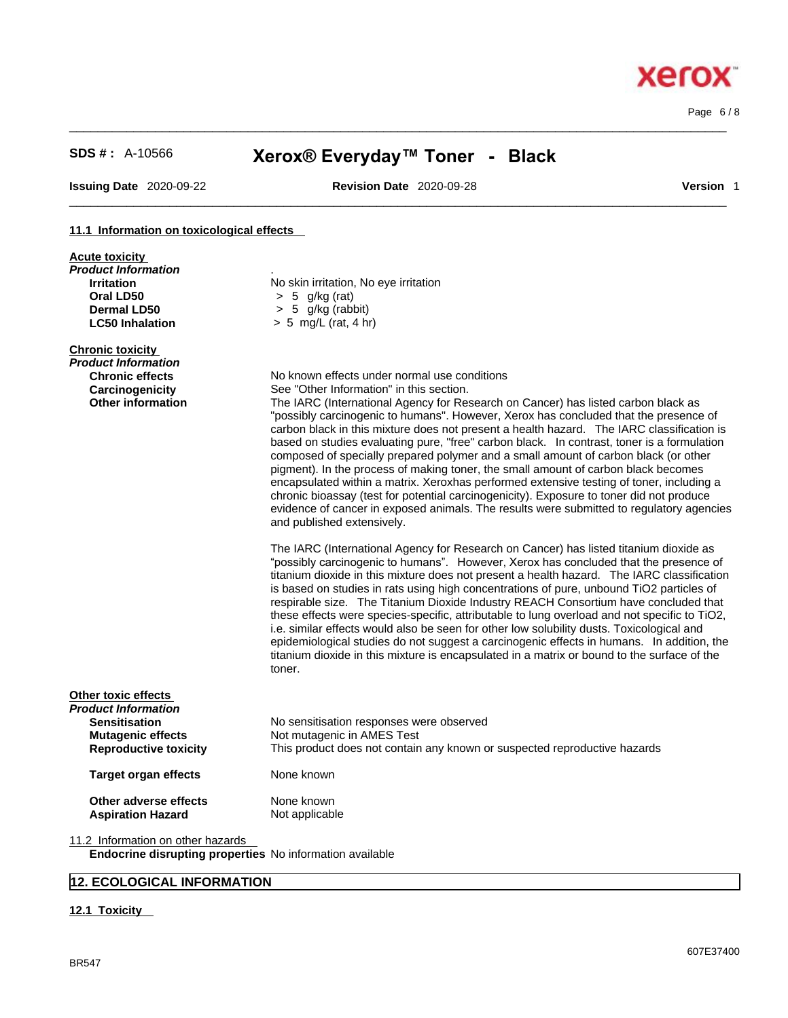**Acute toxicity**

# **SDS # :** A-10566 **Xerox® Everyday™ Toner - Black**

 $\_$  ,  $\_$  ,  $\_$  ,  $\_$  ,  $\_$  ,  $\_$  ,  $\_$  ,  $\_$  ,  $\_$  ,  $\_$  ,  $\_$  ,  $\_$  ,  $\_$  ,  $\_$  ,  $\_$  ,  $\_$  ,  $\_$  ,  $\_$  ,  $\_$  ,  $\_$  ,  $\_$  ,  $\_$  ,  $\_$  ,  $\_$  ,  $\_$  ,  $\_$  ,  $\_$  ,  $\_$  ,  $\_$  ,  $\_$  ,  $\_$  ,  $\_$  ,  $\_$  ,  $\_$  ,  $\_$  ,  $\_$  ,  $\_$  ,

 $\_$  ,  $\_$  ,  $\_$  ,  $\_$  ,  $\_$  ,  $\_$  ,  $\_$  ,  $\_$  ,  $\_$  ,  $\_$  ,  $\_$  ,  $\_$  ,  $\_$  ,  $\_$  ,  $\_$  ,  $\_$  ,  $\_$  ,  $\_$  ,  $\_$  ,  $\_$  ,  $\_$  ,  $\_$  ,  $\_$  ,  $\_$  ,  $\_$  ,  $\_$  ,  $\_$  ,  $\_$  ,  $\_$  ,  $\_$  ,  $\_$  ,  $\_$  ,  $\_$  ,  $\_$  ,  $\_$  ,  $\_$  ,  $\_$  ,

**Issuing Date** 2020-09-22 **Revision Date** 2020-09-28 **Version** 1

Page 6 / 8

#### **11.1 Information on toxicological effects**

| Product Information<br><b>Irritation</b><br>Oral LD50<br><b>Dermal LD50</b> | No skin irritation, No eye irritation<br>$> 5$ g/kg (rat)<br>$> 5$ g/kg (rabbit)                                                                                                                                                                                                                                                                                                                                                                                                                                                                                                                                                                                                                                                                                                                                                                                    |
|-----------------------------------------------------------------------------|---------------------------------------------------------------------------------------------------------------------------------------------------------------------------------------------------------------------------------------------------------------------------------------------------------------------------------------------------------------------------------------------------------------------------------------------------------------------------------------------------------------------------------------------------------------------------------------------------------------------------------------------------------------------------------------------------------------------------------------------------------------------------------------------------------------------------------------------------------------------|
| <b>LC50 Inhalation</b>                                                      | $> 5$ mg/L (rat, 4 hr)                                                                                                                                                                                                                                                                                                                                                                                                                                                                                                                                                                                                                                                                                                                                                                                                                                              |
| <b>Chronic toxicity</b>                                                     |                                                                                                                                                                                                                                                                                                                                                                                                                                                                                                                                                                                                                                                                                                                                                                                                                                                                     |
| Product Information                                                         | No known effects under normal use conditions                                                                                                                                                                                                                                                                                                                                                                                                                                                                                                                                                                                                                                                                                                                                                                                                                        |
| <b>Chronic effects</b><br>Carcinogenicity                                   | See "Other Information" in this section.                                                                                                                                                                                                                                                                                                                                                                                                                                                                                                                                                                                                                                                                                                                                                                                                                            |
| <b>Other information</b>                                                    | The IARC (International Agency for Research on Cancer) has listed carbon black as<br>"possibly carcinogenic to humans". However, Xerox has concluded that the presence of<br>carbon black in this mixture does not present a health hazard. The IARC classification is<br>based on studies evaluating pure, "free" carbon black. In contrast, toner is a formulation<br>composed of specially prepared polymer and a small amount of carbon black (or other<br>pigment). In the process of making toner, the small amount of carbon black becomes<br>encapsulated within a matrix. Xeroxhas performed extensive testing of toner, including a<br>chronic bioassay (test for potential carcinogenicity). Exposure to toner did not produce<br>evidence of cancer in exposed animals. The results were submitted to regulatory agencies<br>and published extensively. |
|                                                                             | The IARC (International Agency for Research on Cancer) has listed titanium dioxide as<br>"possibly carcinogenic to humans". However, Xerox has concluded that the presence of<br>titanium dioxide in this mixture does not present a health hazard. The IARC classification<br>is based on studies in rats using high concentrations of pure, unbound TiO2 particles of<br>respirable size. The Titanium Dioxide Industry REACH Consortium have concluded that<br>these effects were species-specific, attributable to lung overload and not specific to TiO2,<br>i.e. similar effects would also be seen for other low solubility dusts. Toxicological and<br>epidemiological studies do not suggest a carcinogenic effects in humans. In addition, the<br>titanium dioxide in this mixture is encapsulated in a matrix or bound to the surface of the<br>toner.   |
| Other toxic effects                                                         |                                                                                                                                                                                                                                                                                                                                                                                                                                                                                                                                                                                                                                                                                                                                                                                                                                                                     |
| Product Information<br><b>Sensitisation</b>                                 | No sensitisation responses were observed                                                                                                                                                                                                                                                                                                                                                                                                                                                                                                                                                                                                                                                                                                                                                                                                                            |
| <b>Mutagenic effects</b>                                                    | Not mutagenic in AMES Test                                                                                                                                                                                                                                                                                                                                                                                                                                                                                                                                                                                                                                                                                                                                                                                                                                          |
| <b>Reproductive toxicity</b>                                                | This product does not contain any known or suspected reproductive hazards                                                                                                                                                                                                                                                                                                                                                                                                                                                                                                                                                                                                                                                                                                                                                                                           |
| <b>Target organ effects</b>                                                 | None known                                                                                                                                                                                                                                                                                                                                                                                                                                                                                                                                                                                                                                                                                                                                                                                                                                                          |
| Other adverse effects                                                       | None known                                                                                                                                                                                                                                                                                                                                                                                                                                                                                                                                                                                                                                                                                                                                                                                                                                                          |
| <b>Aspiration Hazard</b>                                                    | Not applicable                                                                                                                                                                                                                                                                                                                                                                                                                                                                                                                                                                                                                                                                                                                                                                                                                                                      |
| 11.2 Information on other hazards                                           |                                                                                                                                                                                                                                                                                                                                                                                                                                                                                                                                                                                                                                                                                                                                                                                                                                                                     |
| Endocrine disrupting properties No information available                    |                                                                                                                                                                                                                                                                                                                                                                                                                                                                                                                                                                                                                                                                                                                                                                                                                                                                     |

## **12. ECOLOGICAL INFORMATION**

#### **12.1 Toxicity**

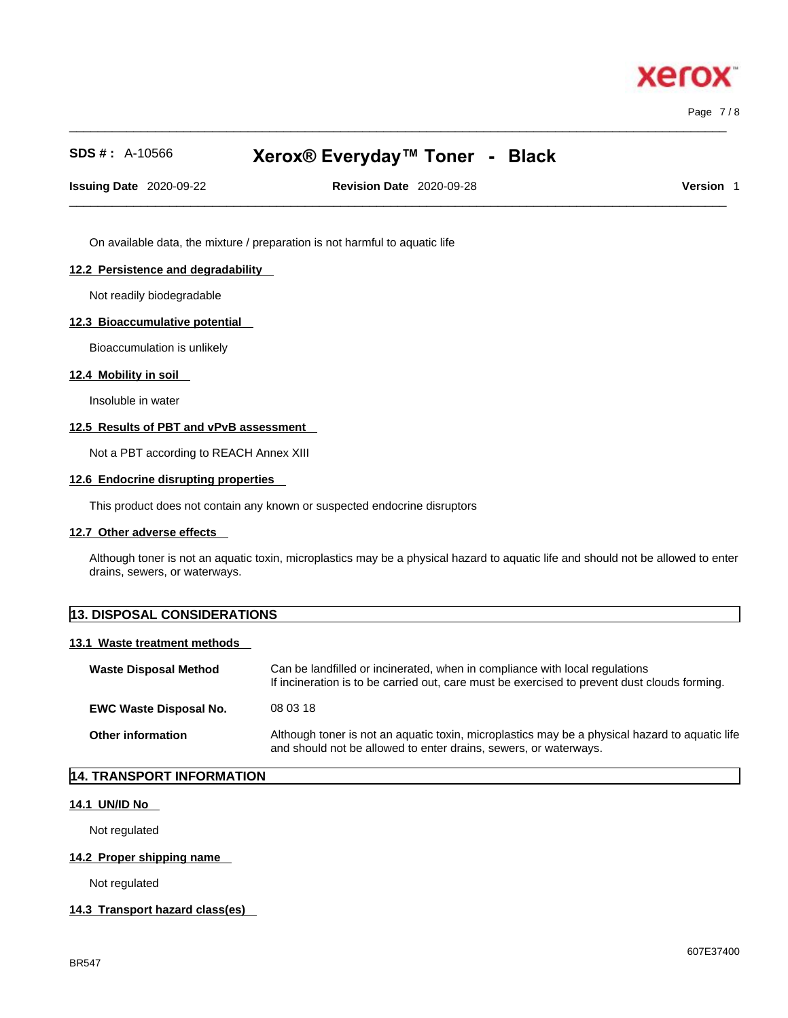Page 7 / 8

xero

# **SDS # :** A-10566 **Xerox® Everyday™ Toner - Black**

 $\_$  ,  $\_$  ,  $\_$  ,  $\_$  ,  $\_$  ,  $\_$  ,  $\_$  ,  $\_$  ,  $\_$  ,  $\_$  ,  $\_$  ,  $\_$  ,  $\_$  ,  $\_$  ,  $\_$  ,  $\_$  ,  $\_$  ,  $\_$  ,  $\_$  ,  $\_$  ,  $\_$  ,  $\_$  ,  $\_$  ,  $\_$  ,  $\_$  ,  $\_$  ,  $\_$  ,  $\_$  ,  $\_$  ,  $\_$  ,  $\_$  ,  $\_$  ,  $\_$  ,  $\_$  ,  $\_$  ,  $\_$  ,  $\_$  ,

**Issuing Date** 2020-09-22 **Revision Date** 2020-09-28 **Version** 1

 $\_$  ,  $\_$  ,  $\_$  ,  $\_$  ,  $\_$  ,  $\_$  ,  $\_$  ,  $\_$  ,  $\_$  ,  $\_$  ,  $\_$  ,  $\_$  ,  $\_$  ,  $\_$  ,  $\_$  ,  $\_$  ,  $\_$  ,  $\_$  ,  $\_$  ,  $\_$  ,  $\_$  ,  $\_$  ,  $\_$  ,  $\_$  ,  $\_$  ,  $\_$  ,  $\_$  ,  $\_$  ,  $\_$  ,  $\_$  ,  $\_$  ,  $\_$  ,  $\_$  ,  $\_$  ,  $\_$  ,  $\_$  ,  $\_$  ,

On available data, the mixture / preparation is not harmful to aquatic life

#### **12.2 Persistence and degradability**

Not readily biodegradable

#### **12.3 Bioaccumulative potential**

Bioaccumulation is unlikely

#### **12.4 Mobility in soil**

Insoluble in water

#### **12.5 Results of PBT and vPvB assessment**

Not a PBT according to REACH Annex XIII

#### **12.6 Endocrine disrupting properties**

This product does not contain any known or suspected endocrine disruptors

#### **12.7 Other adverse effects**

Although toner is not an aquatic toxin, microplastics may be a physical hazard to aquatic life and should not be allowed to enter drains, sewers, or waterways.

| <b>13. DISPOSAL CONSIDERATIONS</b> |                                                                                                                                                                             |  |
|------------------------------------|-----------------------------------------------------------------------------------------------------------------------------------------------------------------------------|--|
| 13.1 Waste treatment methods       |                                                                                                                                                                             |  |
| <b>Waste Disposal Method</b>       | Can be landfilled or incinerated, when in compliance with local regulations<br>If incineration is to be carried out, care must be exercised to prevent dust clouds forming. |  |
| <b>EWC Waste Disposal No.</b>      | 08 03 18                                                                                                                                                                    |  |
| <b>Other information</b>           | Although toner is not an aquatic toxin, microplastics may be a physical hazard to aquatic life<br>and should not be allowed to enter drains, sewers, or waterways.          |  |

#### **14. TRANSPORT INFORMATION**

#### **14.1 UN/ID No**

Not regulated

#### **14.2 Proper shipping name**

Not regulated

#### **14.3 Transport hazard class(es)**